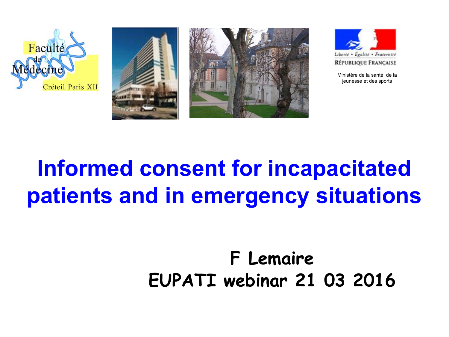







Ministère de la santé, de la jeunesse et des sports

# **Informed consent for incapacitated** patients and in emergency situations

## F Lemaire EUPATI webinar 21 03 2016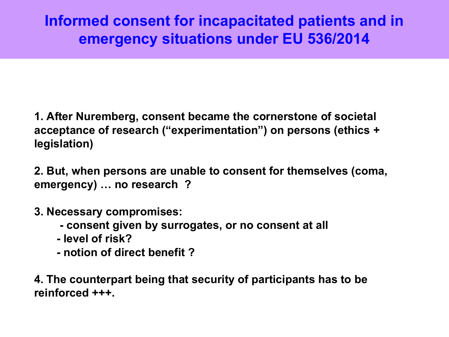## **Informed consent for incapacitated patients and in emergency situations under EU 536/2014**

**1. After Nuremberg, consent became the cornerstone of societal acceptance of research ("experimentation") on persons (ethics + legislation)**

**2. But, when persons are unable to consent for themselves (coma, emergency) … no research ?**

- **3. Necessary compromises:** 
	- **consent given by surrogates, or no consent at all**
	- **level of risk?**
	- **notion of direct benefit ?**

**4. The counterpart being that security of participants has to be reinforced +++.**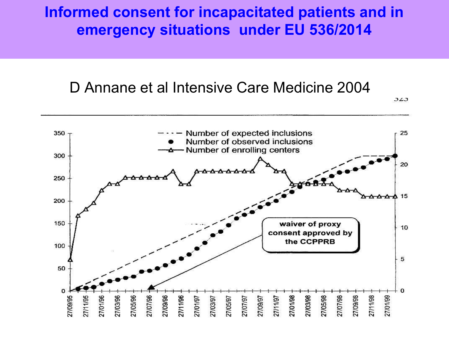### **Informed consent for incapacitated patients and in emergency situations under EU 536/2014**

## D Annane et al Intensive Care Medicine 2004

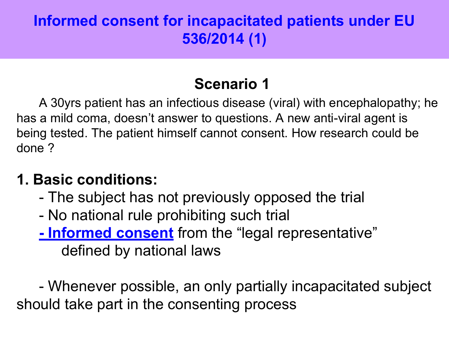## **Informed consent for incapacitated patients under EU 536/2014 (1)**

## **Scenario 1**

A 30yrs patient has an infectious disease (viral) with encephalopathy; he has a mild coma, doesn't answer to questions. A new anti-viral agent is being tested. The patient himself cannot consent. How research could be done ?

## **1. Basic conditions:**

- The subject has not previously opposed the trial
- No national rule prohibiting such trial
- **Informed consent** from the "legal representative" defined by national laws

- Whenever possible, an only partially incapacitated subject should take part in the consenting process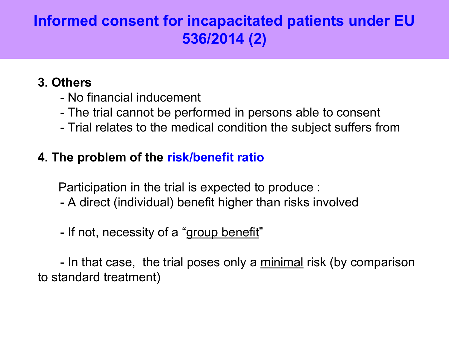## **Informed consent for incapacitated patients under EU 536/2014 (2)**

#### **3. Others**

- No financial inducement
- The trial cannot be performed in persons able to consent
- Trial relates to the medical condition the subject suffers from

#### **4. The problem of the risk/benefit ratio**

Participation in the trial is expected to produce :

- A direct (individual) benefit higher than risks involved
- If not, necessity of a "group benefit"

- In that case, the trial poses only a minimal risk (by comparison to standard treatment)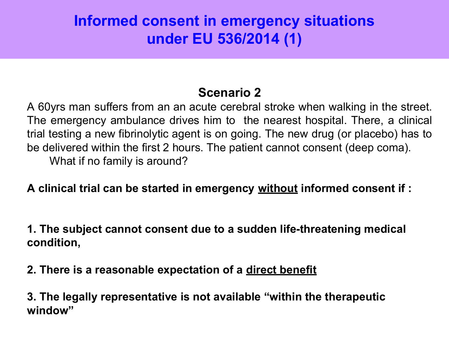## **Informed consent in emergency situations under EU 536/2014 (1)**

#### **Scenario 2**

A 60yrs man suffers from an an acute cerebral stroke when walking in the street. The emergency ambulance drives him to the nearest hospital. There, a clinical trial testing a new fibrinolytic agent is on going. The new drug (or placebo) has to be delivered within the first 2 hours. The patient cannot consent (deep coma). What if no family is around?

**A clinical trial can be started in emergency without informed consent if :**

**1. The subject cannot consent due to a sudden life-threatening medical condition,** 

**2. There is a reasonable expectation of a direct benefit**

**3. The legally representative is not available "within the therapeutic window"**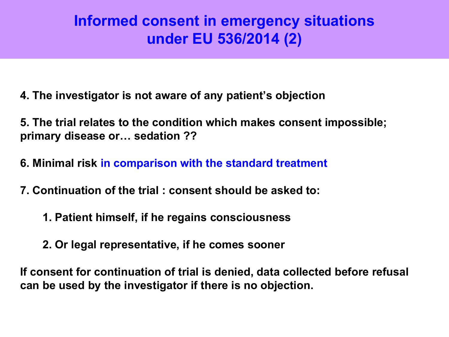## **Informed consent in emergency situations under EU 536/2014 (2)**

- **4. The investigator is not aware of any patient's objection**
- **5. The trial relates to the condition which makes consent impossible; primary disease or… sedation ??**
- **6. Minimal risk in comparison with the standard treatment**
- **7. Continuation of the trial : consent should be asked to:**
	- **1. Patient himself, if he regains consciousness**
	- **2. Or legal representative, if he comes sooner**

**If consent for continuation of trial is denied, data collected before refusal can be used by the investigator if there is no objection.**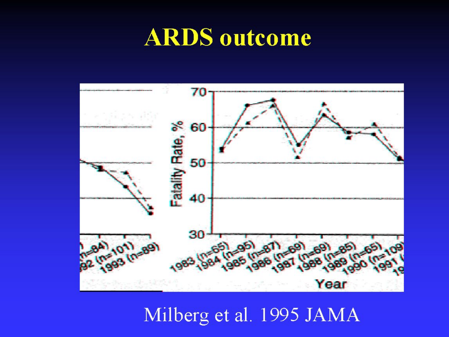# **ARDS** outcome



## Milberg et al. 1995 JAMA